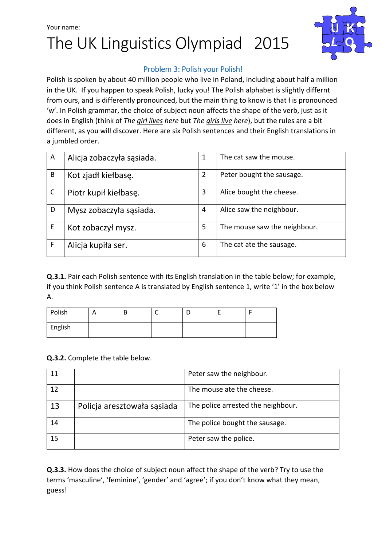## Your name: The UK Linguistics Olympiad 2015



#### Problem 3: Polish your Polish!

Polish is spoken by about 40 million people who live in Poland, including about half a million in the UK. If you happen to speak Polish, lucky you! The Polish alphabet is slightly differnt from ours, and is differently pronounced, but the main thing to know is that ł is pronounced 'w'. In Polish grammar, the choice of subject noun affects the shape of the verb, just as it does in English (think of The girl lives here but The girls live here), but the rules are a bit different, as you will discover. Here are six Polish sentences and their English translations in a jumbled order.

| A | Alicja zobaczyła sąsiada. | 1 | The cat saw the mouse.       |
|---|---------------------------|---|------------------------------|
| B | Kot zjadł kiełbasę.       | 2 | Peter bought the sausage.    |
|   | Piotr kupił kiełbasę.     | 3 | Alice bought the cheese.     |
| D | Mysz zobaczyła sąsiada.   | 4 | Alice saw the neighbour.     |
| E | Kot zobaczył mysz.        | 5 | The mouse saw the neighbour. |
| F | Alicja kupiła ser.        | 6 | The cat ate the sausage.     |

Q.3.1. Pair each Polish sentence with its English translation in the table below; for example, if you think Polish sentence A is translated by English sentence 1, write '1' in the box below A.

| Polish  | <u>r</u> | D | ◡ |  |
|---------|----------|---|---|--|
| English |          |   |   |  |

Q.3.2. Complete the table below.

|    |                             | Peter saw the neighbour.           |
|----|-----------------------------|------------------------------------|
| 12 |                             | The mouse ate the cheese.          |
| 13 | Policja aresztowała sąsiada | The police arrested the neighbour. |
| 14 |                             | The police bought the sausage.     |
| 15 |                             | Peter saw the police.              |

Q.3.3. How does the choice of subject noun affect the shape of the verb? Try to use the terms 'masculine', 'feminine', 'gender' and 'agree'; if you don't know what they mean, guess!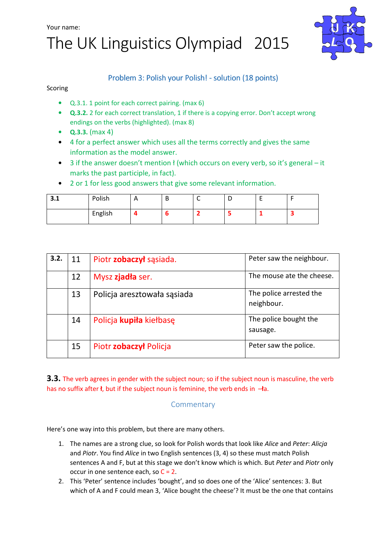Your name:

# The UK Linguistics Olympiad 2015



### Problem 3: Polish your Polish! - solution (18 points)

Scoring

- Q.3.1. 1 point for each correct pairing. (max 6)
- Q.3.2. 2 for each correct translation, 1 if there is a copying error. Don't accept wrong endings on the verbs (highlighted). (max 8)
- $Q.3.3.$  (max 4)
- 4 for a perfect answer which uses all the terms correctly and gives the same information as the model answer.
- 3 if the answer doesn't mention ł (which occurs on every verb, so it's general it marks the past participle, in fact).
- 2 or 1 for less good answers that give some relevant information.

| <u>,</u><br>3.1 | Polish  | A | D | - |  |
|-----------------|---------|---|---|---|--|
|                 | English |   |   |   |  |

| 3.2. | 11 | Piotr zobaczył sąsiada.     | Peter saw the neighbour.              |
|------|----|-----------------------------|---------------------------------------|
|      | 12 | Mysz zjadła ser.            | The mouse ate the cheese.             |
|      | 13 | Policja aresztowała sąsiada | The police arrested the<br>neighbour. |
|      | 14 | Policja kupiła kiełbasę     | The police bought the<br>sausage.     |
|      | 15 | Piotr zobaczył Policja      | Peter saw the police.                 |

3.3. The verb agrees in gender with the subject noun; so if the subject noun is masculine, the verb has no suffix after *I*, but if the subject noun is feminine, the verb ends in  $-\text{Ia}$ .

### **Commentary**

Here's one way into this problem, but there are many others.

- 1. The names are a strong clue, so look for Polish words that look like Alice and Peter: Alicja and Piotr. You find Alice in two English sentences (3, 4) so these must match Polish sentences A and F, but at this stage we don't know which is which. But Peter and Piotr only occur in one sentence each, so  $C = 2$ .
- 2. This 'Peter' sentence includes 'bought', and so does one of the 'Alice' sentences: 3. But which of A and F could mean 3, 'Alice bought the cheese'? It must be the one that contains